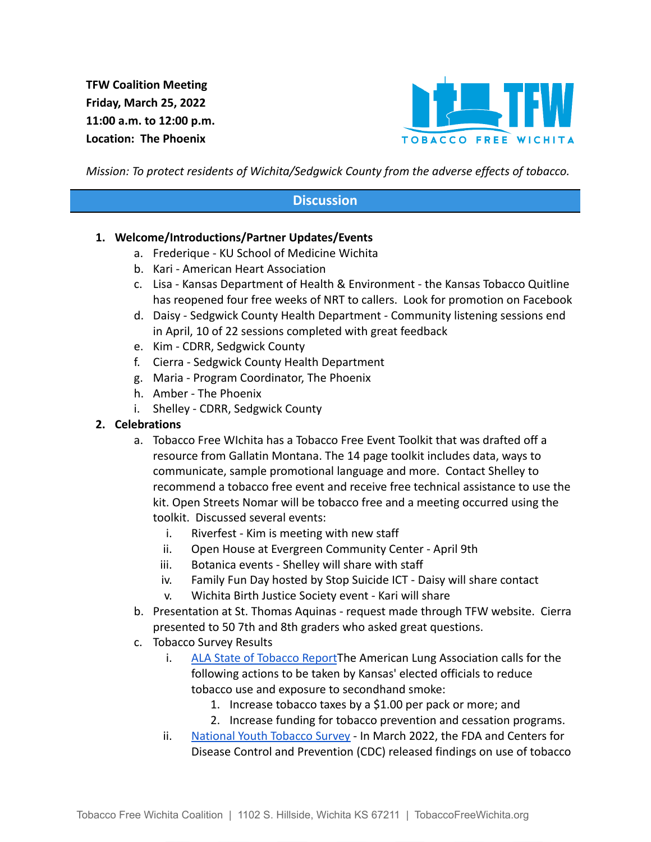**TFW Coalition Meeting Friday, March 25, 2022 11:00 a.m. to 12:00 p.m. Location: The Phoenix**



*Mission: To protect residents of Wichita/Sedgwick County from the adverse effects of tobacco.*

### **Discussion**

#### **1. Welcome/Introductions/Partner Updates/Events**

- a. Frederique KU School of Medicine Wichita
- b. Kari American Heart Association
- c. Lisa Kansas Department of Health & Environment the Kansas Tobacco Quitline has reopened four free weeks of NRT to callers. Look for promotion on Facebook
- d. Daisy Sedgwick County Health Department Community listening sessions end in April, 10 of 22 sessions completed with great feedback
- e. Kim CDRR, Sedgwick County
- f. Cierra Sedgwick County Health Department
- g. Maria Program Coordinator, The Phoenix
- h. Amber The Phoenix
- i. Shelley CDRR, Sedgwick County

#### **2. Celebrations**

- a. Tobacco Free WIchita has a Tobacco Free Event Toolkit that was drafted off a resource from Gallatin Montana. The 14 page toolkit includes data, ways to communicate, sample promotional language and more. Contact Shelley to recommend a tobacco free event and receive free technical assistance to use the kit. Open Streets Nomar will be tobacco free and a meeting occurred using the toolkit. Discussed several events:
	- i. Riverfest Kim is meeting with new staff
	- ii. Open House at Evergreen Community Center April 9th
	- iii. Botanica events Shelley will share with staff
	- iv. Family Fun Day hosted by Stop Suicide ICT Daisy will share contact
	- v. Wichita Birth Justice Society event Kari will share
- b. Presentation at St. Thomas Aquinas request made through TFW website. Cierra presented to 50 7th and 8th graders who asked great questions.
- c. Tobacco Survey Results
	- i. [ALA State of Tobacco Report](https://www.lung.org/research/sotc)The American Lung Association calls for the following actions to be taken by Kansas' elected officials to reduce tobacco use and exposure to secondhand smoke:
		- 1. Increase tobacco taxes by a \$1.00 per pack or more; and
		- 2. Increase funding for tobacco prevention and cessation programs.
	- ii. [National Youth Tobacco Survey](https://www.fda.gov/tobacco-products/youth-and-tobacco/results-annual-national-youth-tobacco-survey) In March 2022, the FDA and Centers for Disease Control and Prevention (CDC) released findings on use of tobacco